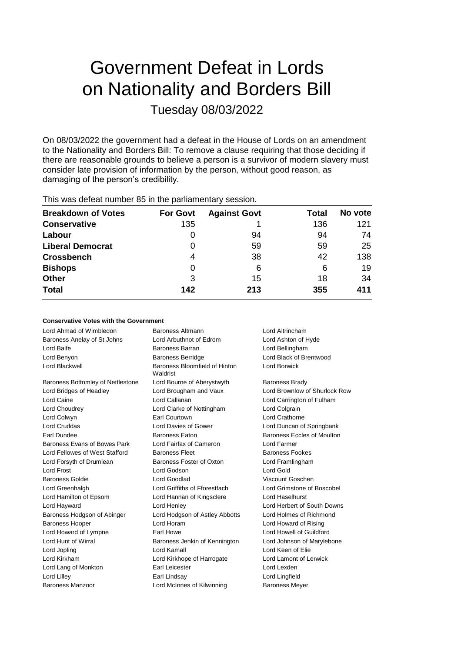# Government Defeat in Lords on Nationality and Borders Bill Tuesday 08/03/2022

On 08/03/2022 the government had a defeat in the House of Lords on an amendment to the Nationality and Borders Bill: To remove a clause requiring that those deciding if there are reasonable grounds to believe a person is a survivor of modern slavery must consider late provision of information by the person, without good reason, as damaging of the person's credibility.

| <b>Breakdown of Votes</b><br><b>Against Govt</b><br><b>For Govt</b><br>Total<br>135<br>136<br><b>Conservative</b><br>Labour<br>94<br>94<br>O<br>59<br>59<br><b>Liberal Democrat</b><br>0<br>38<br>42<br><b>Crossbench</b><br>4<br><b>Bishops</b><br>6<br>6<br>0<br>3<br><b>Other</b><br>15<br>18<br><b>Total</b><br>142<br>213<br>355 | $1.110$ $1.000$ and the statistic and $0.000$ in the position individual provided to $1.000$ |  |  |  |         |  |
|---------------------------------------------------------------------------------------------------------------------------------------------------------------------------------------------------------------------------------------------------------------------------------------------------------------------------------------|----------------------------------------------------------------------------------------------|--|--|--|---------|--|
|                                                                                                                                                                                                                                                                                                                                       |                                                                                              |  |  |  | No vote |  |
|                                                                                                                                                                                                                                                                                                                                       |                                                                                              |  |  |  | 121     |  |
|                                                                                                                                                                                                                                                                                                                                       |                                                                                              |  |  |  | 74      |  |
|                                                                                                                                                                                                                                                                                                                                       |                                                                                              |  |  |  | 25      |  |
|                                                                                                                                                                                                                                                                                                                                       |                                                                                              |  |  |  | 138     |  |
|                                                                                                                                                                                                                                                                                                                                       |                                                                                              |  |  |  | 19      |  |
|                                                                                                                                                                                                                                                                                                                                       |                                                                                              |  |  |  | 34      |  |
|                                                                                                                                                                                                                                                                                                                                       |                                                                                              |  |  |  | 411     |  |

This was defeat number 85 in the parliamentary session.

## **Conservative Votes with the Government**

| Lord Ahmad of Wimbledon           |                                           |                                   |  |
|-----------------------------------|-------------------------------------------|-----------------------------------|--|
|                                   | Baroness Altmann<br>Lord Altrincham       |                                   |  |
| Baroness Anelay of St Johns       | Lord Arbuthnot of Edrom                   | Lord Ashton of Hyde               |  |
| Lord Balfe                        | Baroness Barran                           | Lord Bellingham                   |  |
| Lord Benyon                       | <b>Baroness Berridge</b>                  | Lord Black of Brentwood           |  |
| Lord Blackwell                    | Baroness Bloomfield of Hinton<br>Waldrist | Lord Borwick                      |  |
| Baroness Bottomley of Nettlestone | Lord Bourne of Aberystwyth                | <b>Baroness Brady</b>             |  |
| Lord Bridges of Headley           | Lord Brougham and Vaux                    | Lord Brownlow of Shurlock Row     |  |
| Lord Caine                        | Lord Callanan                             | Lord Carrington of Fulham         |  |
| Lord Choudrey                     | Lord Clarke of Nottingham                 | Lord Colgrain                     |  |
| Lord Colwyn                       | Earl Courtown                             | Lord Crathorne                    |  |
| <b>Lord Cruddas</b>               | Lord Davies of Gower                      | Lord Duncan of Springbank         |  |
| Earl Dundee                       | <b>Baroness Eaton</b>                     | <b>Baroness Eccles of Moulton</b> |  |
| Baroness Evans of Bowes Park      | Lord Fairfax of Cameron                   | Lord Farmer                       |  |
| Lord Fellowes of West Stafford    | <b>Baroness Fleet</b>                     | <b>Baroness Fookes</b>            |  |
| Lord Forsyth of Drumlean          | Baroness Foster of Oxton                  | Lord Framlingham                  |  |
| Lord Frost                        | Lord Godson                               | Lord Gold                         |  |
| <b>Baroness Goldie</b>            | <b>Lord Goodlad</b>                       | Viscount Goschen                  |  |
| Lord Greenhalgh                   | Lord Griffiths of Fforestfach             | Lord Grimstone of Boscobel        |  |
| Lord Hamilton of Epsom            | Lord Hannan of Kingsclere                 | Lord Haselhurst                   |  |
| Lord Hayward                      | Lord Henley                               | Lord Herbert of South Downs       |  |
| Baroness Hodgson of Abinger       | Lord Hodgson of Astley Abbotts            | Lord Holmes of Richmond           |  |
| <b>Baroness Hooper</b>            | Lord Horam                                | Lord Howard of Rising             |  |
| Lord Howard of Lympne             | Earl Howe                                 | Lord Howell of Guildford          |  |
| Lord Hunt of Wirral               | Baroness Jenkin of Kennington             | Lord Johnson of Marylebone        |  |
| Lord Jopling                      | Lord Kamall                               | Lord Keen of Elie                 |  |
| Lord Kirkham                      | Lord Kirkhope of Harrogate                | Lord Lamont of Lerwick            |  |
| Lord Lang of Monkton              | Earl Leicester                            | Lord Lexden                       |  |
| Lord Lilley                       | Earl Lindsay                              | Lord Lingfield                    |  |
| Baroness Manzoor                  | Lord McInnes of Kilwinning                | <b>Baroness Meyer</b>             |  |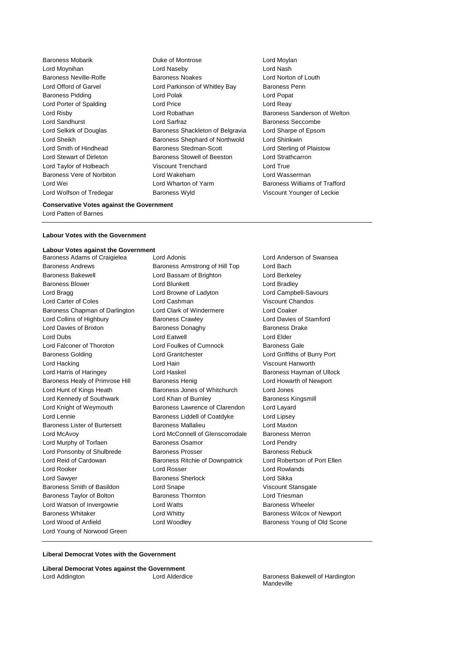Baroness Mobarik **Duke of Montrose** Lord Moylan Lord Moynihan Lord Naseby Lord Nash Baroness Neville-Rolfe **Baroness Noakes** Lord Norton of Louth Lord Offord of Garvel **Lord Parkinson of Whitley Bay** Baroness Penn Baroness Pidding Lord Polak Lord Popat Lord Porter of Spalding **Lord Price** Lord Price **Lord Reay** Lord Risby **Lord Robathan** Baroness Sanderson of Welton Lord Sandhurst **Lord Sarfraz Lord Sarfraz** Baroness Seccombe Lord Selkirk of Douglas Baroness Shackleton of Belgravia Lord Sharpe of Epsom Lord Sheikh **Baroness Shephard of Northwold** Lord Shinkwin Lord Smith of Hindhead Baroness Stedman-Scott Lord Sterling of Plaistow Lord Stewart of Dirleton **Baroness Stowell of Beeston** Lord Strathcarron Lord Taylor of Holbeach Viscount Trenchard Lord True Baroness Vere of Norbiton **Lord Wakeham** Lord Wakeham Lord Wasserman<br>
Lord Wei Baroness William Lord Wei Lord Wharton of Yarm Baroness Williams of Trafford Lord Wolfson of Tredegar Baroness Wyld Viscount Younger of Leckie

## **Conservative Votes against the Government**

Lord Patten of Barnes

### **Labour Votes with the Government**

## **Labour Votes against the Government**

Baroness Andrews Baroness Armstrong of Hill Top Lord Bach Baroness Bakewell **Lord Bassam of Brighton** Lord Berkeley Baroness Blower **Lord Blunkett** Lord Bradley Lord Bragg **Lord Browne of Ladyton** Lord Campbell-Savours Lord Carter of Coles **Lord Cashman** Viscount Chandos Baroness Chapman of Darlington Lord Clark of Windermere Lord Coaker Lord Collins of Highbury Baroness Crawley Lord Davies of Stamford Lord Davies of Brixton **Baroness Donaghy** Baroness Drake Lord Dubs Lord Eatwell Lord Elder Lord Falconer of Thoroton Lord Foulkes of Cumnock Baroness Gale Baroness Golding Lord Grantchester Lord Griffiths of Burry Port Lord Hacking Lord Hain Viscount Hanworth Lord Harris of Haringey **Lord Haskel Communist Communist Communist Communist Communist Communist Communist Communist Communist Communist Communist Communist Communist Communist Communist Communist Communist Communist Commu** Baroness Healy of Primrose Hill Baroness Henig Lord Howarth of Newport Lord Hunt of Kings Heath Baroness Jones of Whitchurch Lord Jones Lord Kennedy of Southwark **Lord Khan of Burnley Communist Channes** Baroness Kingsmill Lord Knight of Weymouth Baroness Lawrence of Clarendon Lord Layard Lord Lennie **Baroness Liddell of Coatdyke** Lord Lipsey Baroness Lister of Burtersett Baroness Mallalieu Lord Maxton Lord McAvoy Lord McConnell of Glenscorrodale Baroness Merron Lord Murphy of Torfaen **Baroness Osamor** Baroness Osamor Lord Pendry Lord Ponsonby of Shulbrede Baroness Prosser Baroness Rebuck Lord Reid of Cardowan Baroness Ritchie of Downpatrick Lord Robertson of Port Ellen Lord Rooker Lord Rosser Lord Rowlands Lord Sawyer Baroness Sherlock Lord Sikka Baroness Smith of Basildon Lord Snape Viscount Stansgate Baroness Taylor of Bolton **Baroness Thornton** Lord Triesman Lord Watson of Invergowrie **Lord Watts Baroness Wheeler Baroness Wheeler** Baroness Whitaker **Lord Whitty Lord Whitty** Baroness Wilcox of Newport Lord Wood of Anfield Lord Woodley Corp. Baroness Young of Old Scone Lord Young of Norwood Green

Baroness Adams of Craigielea Lord Adonis Lord Anderson of Swansea

## **Liberal Democrat Votes with the Government**

**Liberal Democrat Votes against the Government** Lord Addington **Lord Alderdice** Baroness Bakewell of Hardington

Mandeville